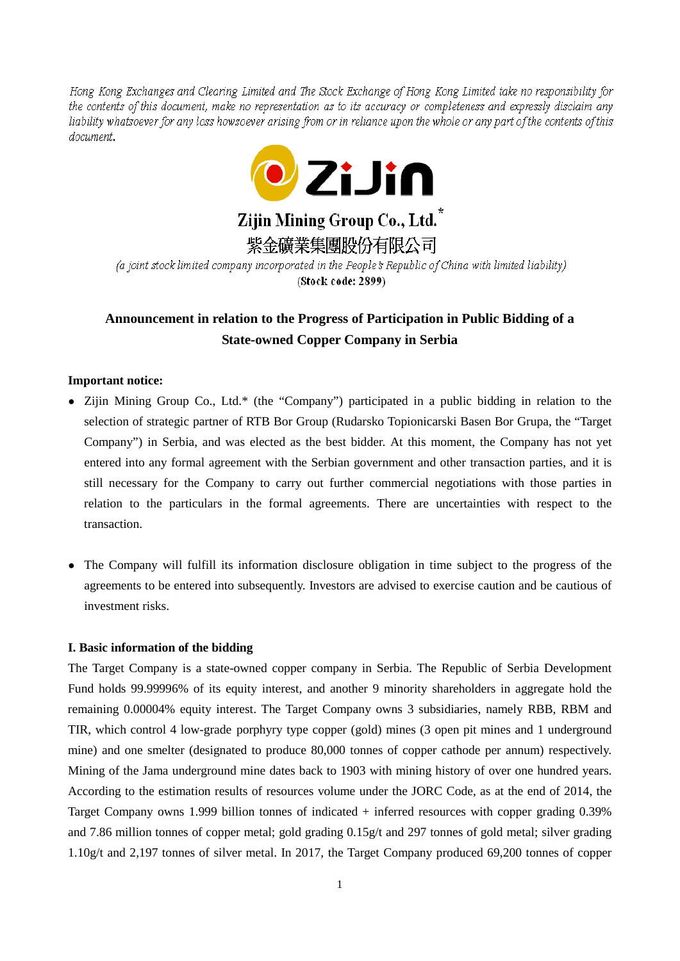Hong Kong Exchanges and Clearing Limited and The Stock Exchange of Hong Kong Limited take no responsibility for the contents of this document, make no representation as to its accuracy or completeness and expressly disclaim any liability whatsoever for any loss howsoever arising from or in reliance upon the whole or any part of the contents of this document.



# Zijin Mining Group Co., Ltd.<sup>\*</sup>

紫金礦業集團股份有限公司

(a joint stock limited company incorporated in the People's Republic of China with limited liability) (Stock code: 2899)

# **Announcement in relation to the Progress of Participation in Public Bidding of a State-owned Copper Company in Serbia**

## **Important notice:**

- Zijin Mining Group Co., Ltd.\* (the "Company") participated in a public bidding in relation to the selection of strategic partner of RTB Bor Group (Rudarsko Topionicarski Basen Bor Grupa, the "Target Company") in Serbia, and was elected as the best bidder. At this moment, the Company has not yet entered into any formal agreement with the Serbian government and other transaction parties, and it is still necessary for the Company to carry out further commercial negotiations with those parties in relation to the particulars in the formal agreements. There are uncertainties with respect to the transaction.
- The Company will fulfill its information disclosure obligation in time subject to the progress of the agreements to be entered into subsequently. Investors are advised to exercise caution and be cautious of investment risks.

#### **I. Basic information of the bidding**

The Target Company is a state-owned copper company in Serbia. The Republic of Serbia Development Fund holds 99.99996% of its equity interest, and another 9 minority shareholders in aggregate hold the remaining 0.00004% equity interest. The Target Company owns 3 subsidiaries, namely RBB, RBM and TIR, which control 4 low-grade porphyry type copper (gold) mines (3 open pit mines and 1 underground mine) and one smelter (designated to produce 80,000 tonnes of copper cathode per annum) respectively. Mining of the Jama underground mine dates back to 1903 with mining history of over one hundred years. According to the estimation results of resources volume under the JORC Code, as at the end of 2014, the Target Company owns 1.999 billion tonnes of indicated + inferred resources with copper grading 0.39% and 7.86 million tonnes of copper metal; gold grading 0.15g/t and 297 tonnes of gold metal; silver grading 1.10g/t and 2,197 tonnes of silver metal. In 2017, the Target Company produced 69,200 tonnes of copper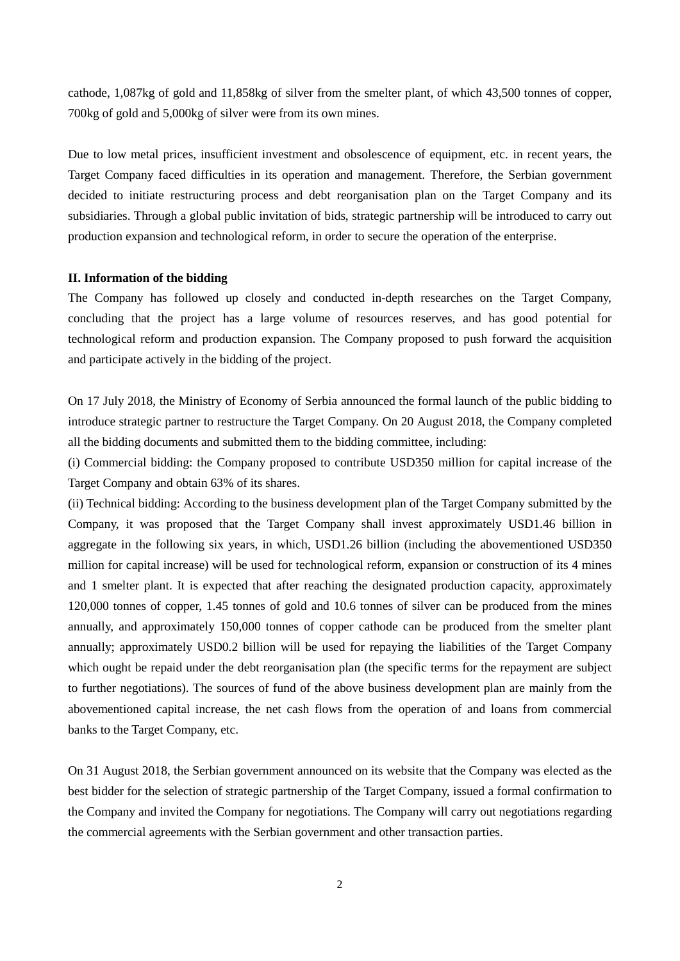cathode, 1,087kg of gold and 11,858kg of silver from the smelter plant, of which 43,500 tonnes of copper, 700kg of gold and 5,000kg of silver were from its own mines.

Due to low metal prices, insufficient investment and obsolescence of equipment, etc. in recent years, the Target Company faced difficulties in its operation and management. Therefore, the Serbian government decided to initiate restructuring process and debt reorganisation plan on the Target Company and its subsidiaries. Through a global public invitation of bids, strategic partnership will be introduced to carry out production expansion and technological reform, in order to secure the operation of the enterprise.

#### **II. Information of the bidding**

The Company has followed up closely and conducted in-depth researches on the Target Company, concluding that the project has a large volume of resources reserves, and has good potential for technological reform and production expansion. The Company proposed to push forward the acquisition and participate actively in the bidding of the project.

On 17 July 2018, the Ministry of Economy of Serbia announced the formal launch of the public bidding to introduce strategic partner to restructure the Target Company. On 20 August 2018, the Company completed all the bidding documents and submitted them to the bidding committee, including:

(i) Commercial bidding: the Company proposed to contribute USD350 million for capital increase of the Target Company and obtain 63% of its shares.

(ii) Technical bidding: According to the business development plan of the Target Company submitted by the Company, it was proposed that the Target Company shall invest approximately USD1.46 billion in aggregate in the following six years, in which, USD1.26 billion (including the abovementioned USD350 million for capital increase) will be used for technological reform, expansion or construction of its 4 mines and 1 smelter plant. It is expected that after reaching the designated production capacity, approximately 120,000 tonnes of copper, 1.45 tonnes of gold and 10.6 tonnes of silver can be produced from the mines annually, and approximately 150,000 tonnes of copper cathode can be produced from the smelter plant annually; approximately USD0.2 billion will be used for repaying the liabilities of the Target Company which ought be repaid under the debt reorganisation plan (the specific terms for the repayment are subject to further negotiations). The sources of fund of the above business development plan are mainly from the abovementioned capital increase, the net cash flows from the operation of and loans from commercial banks to the Target Company, etc.

On 31 August 2018, the Serbian government announced on its website that the Company was elected as the best bidder for the selection of strategic partnership of the Target Company, issued a formal confirmation to the Company and invited the Company for negotiations. The Company will carry out negotiations regarding the commercial agreements with the Serbian government and other transaction parties.